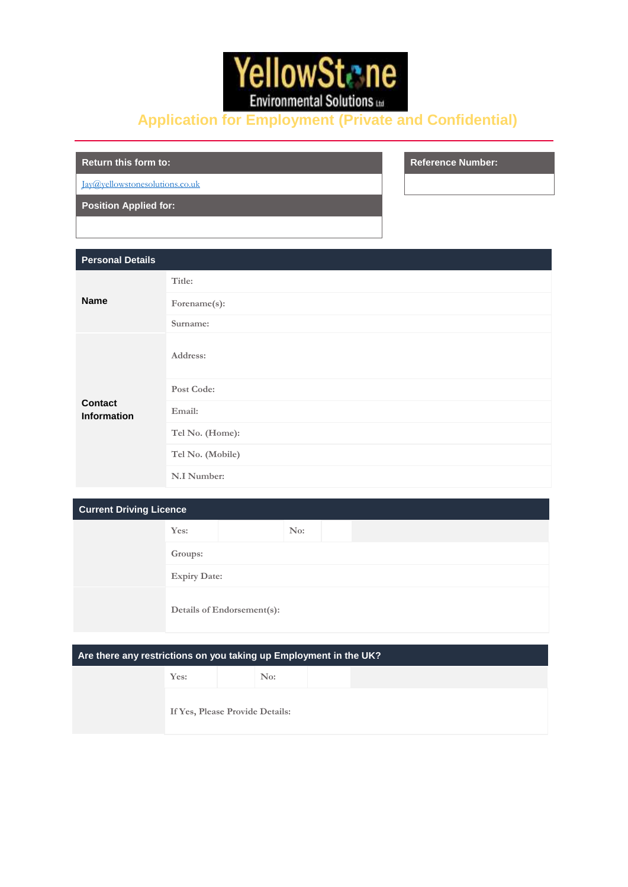

# **Application for Employment (Private and Confidential)**

**Return this form to: Reference Number:**

[Jay@yellowstonesolutions.co.uk](mailto:Jay@yellowstonesolutions.co.uk)

**Position Applied for:**

| <b>Personal Details</b>              |                  |
|--------------------------------------|------------------|
| <b>Name</b>                          | Title:           |
|                                      | Forename(s):     |
|                                      | Surname:         |
| <b>Contact</b><br><b>Information</b> | Address:         |
|                                      | Post Code:       |
|                                      | Email:           |
|                                      | Tel No. (Home):  |
|                                      | Tel No. (Mobile) |
|                                      | N.I Number:      |

| <b>Current Driving Licence</b> |                     |                            |     |  |  |  |  |
|--------------------------------|---------------------|----------------------------|-----|--|--|--|--|
|                                | Yes:                |                            | No: |  |  |  |  |
|                                | Groups:             |                            |     |  |  |  |  |
|                                | <b>Expiry Date:</b> |                            |     |  |  |  |  |
|                                |                     | Details of Endorsement(s): |     |  |  |  |  |

## **Are there any restrictions on you taking up Employment in the UK?**

| Yes: | No:                             |  |  |
|------|---------------------------------|--|--|
|      | If Yes, Please Provide Details: |  |  |
|      |                                 |  |  |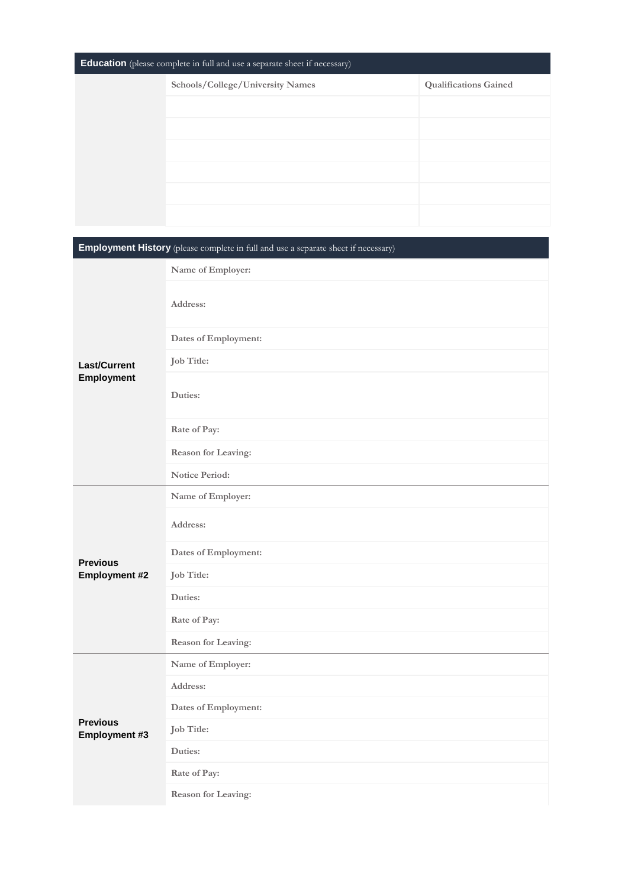| <b>Education</b> (please complete in full and use a separate sheet if necessary) |                                  |                              |  |  |  |
|----------------------------------------------------------------------------------|----------------------------------|------------------------------|--|--|--|
|                                                                                  | Schools/College/University Names | <b>Qualifications Gained</b> |  |  |  |
|                                                                                  |                                  |                              |  |  |  |
|                                                                                  |                                  |                              |  |  |  |
|                                                                                  |                                  |                              |  |  |  |
|                                                                                  |                                  |                              |  |  |  |
|                                                                                  |                                  |                              |  |  |  |
|                                                                                  |                                  |                              |  |  |  |

| <b>Employment History</b> (please complete in full and use a separate sheet if necessary) |                      |  |  |  |
|-------------------------------------------------------------------------------------------|----------------------|--|--|--|
|                                                                                           | Name of Employer:    |  |  |  |
|                                                                                           | Address:             |  |  |  |
|                                                                                           | Dates of Employment: |  |  |  |
| <b>Last/Current</b>                                                                       | Job Title:           |  |  |  |
| Employment                                                                                | Duties:              |  |  |  |
|                                                                                           | Rate of Pay:         |  |  |  |
|                                                                                           | Reason for Leaving:  |  |  |  |
|                                                                                           | Notice Period:       |  |  |  |
|                                                                                           | Name of Employer:    |  |  |  |
|                                                                                           | Address:             |  |  |  |
| <b>Previous</b>                                                                           | Dates of Employment: |  |  |  |
| <b>Employment #2</b>                                                                      | Job Title:           |  |  |  |
|                                                                                           | Duties:              |  |  |  |
|                                                                                           | Rate of Pay:         |  |  |  |
|                                                                                           | Reason for Leaving:  |  |  |  |
|                                                                                           | Name of Employer:    |  |  |  |
| <b>Previous</b><br><b>Employment #3</b>                                                   | Address:             |  |  |  |
|                                                                                           | Dates of Employment: |  |  |  |
|                                                                                           | Job Title:           |  |  |  |
|                                                                                           | Duties:              |  |  |  |
|                                                                                           | Rate of Pay:         |  |  |  |
|                                                                                           | Reason for Leaving:  |  |  |  |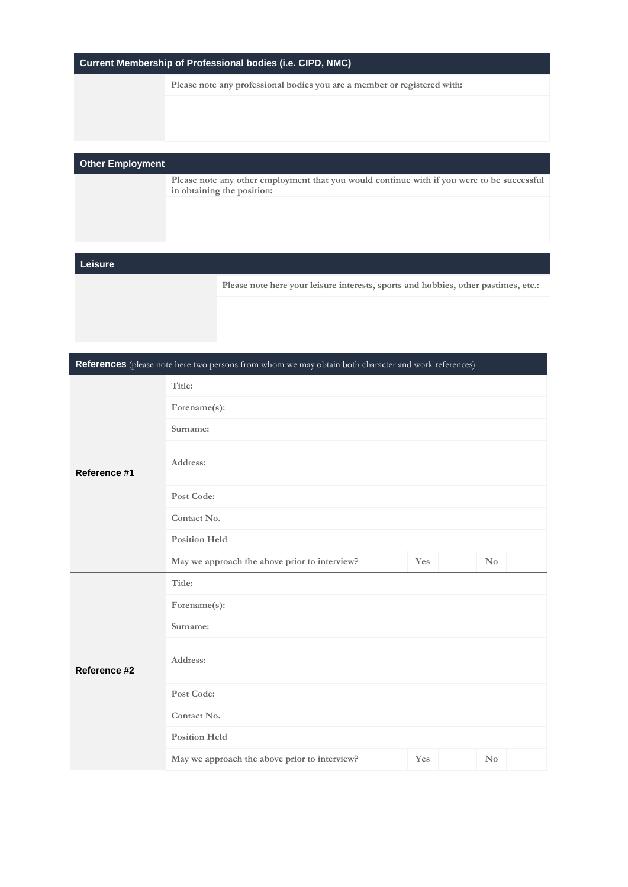|  |  | Current Membership of Professional bodies (i.e. CIPD, NMC) |
|--|--|------------------------------------------------------------|
|--|--|------------------------------------------------------------|

**Please note any professional bodies you are a member or registered with:**

#### **Other Employment**

**Please note any other employment that you would continue with if you were to be successful in obtaining the position:**

#### **Leisure**

**Please note here your leisure interests, sports and hobbies, other pastimes, etc.:**

**References** (please note here two persons from whom we may obtain both character and work references)

|              | Title:                                        |     |                        |  |  |  |
|--------------|-----------------------------------------------|-----|------------------------|--|--|--|
| Reference #1 | Forename(s):                                  |     |                        |  |  |  |
|              | Surname:                                      |     |                        |  |  |  |
|              | Address:                                      |     |                        |  |  |  |
|              | Post Code:                                    |     |                        |  |  |  |
|              | Contact No.                                   |     |                        |  |  |  |
|              | <b>Position Held</b>                          |     |                        |  |  |  |
|              | May we approach the above prior to interview? | Yes | $\mathbf{N}\mathbf{o}$ |  |  |  |
| Reference #2 | Title:                                        |     |                        |  |  |  |
|              | Forename(s):                                  |     |                        |  |  |  |
|              | Surname:                                      |     |                        |  |  |  |
|              | Address:                                      |     |                        |  |  |  |
|              | Post Code:                                    |     |                        |  |  |  |
|              | Contact No.                                   |     |                        |  |  |  |
|              | <b>Position Held</b>                          |     |                        |  |  |  |
|              | May we approach the above prior to interview? | Yes | $\rm No$               |  |  |  |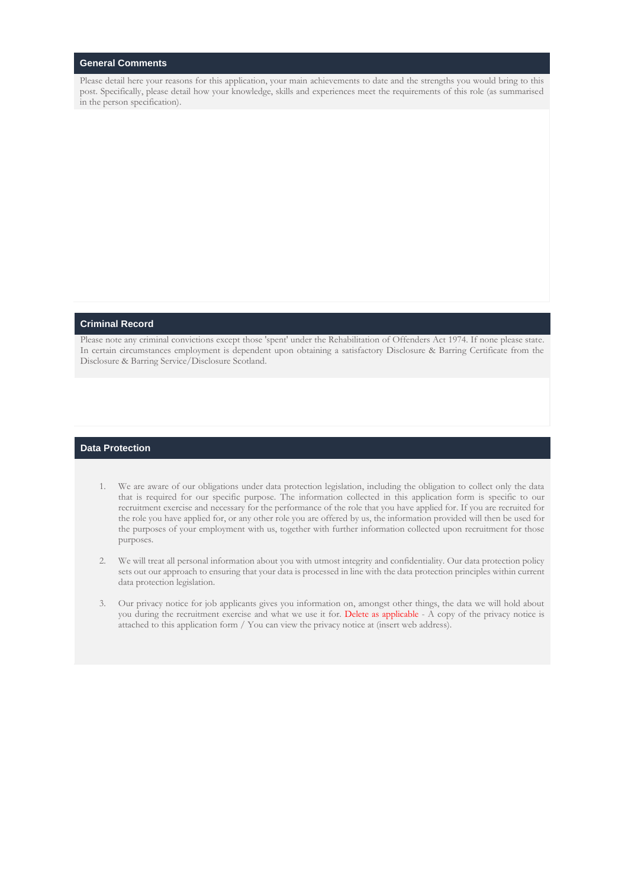#### **General Comments**

Please detail here your reasons for this application, your main achievements to date and the strengths you would bring to this post. Specifically, please detail how your knowledge, skills and experiences meet the requirements of this role (as summarised in the person specification).

#### **Criminal Record**

Please note any criminal convictions except those 'spent' under the Rehabilitation of Offenders Act 1974. If none please state. In certain circumstances employment is dependent upon obtaining a satisfactory Disclosure & Barring Certificate from the Disclosure & Barring Service/Disclosure Scotland.

#### **Data Protection**

- 1. We are aware of our obligations under data protection legislation, including the obligation to collect only the data that is required for our specific purpose. The information collected in this application form is specific to our recruitment exercise and necessary for the performance of the role that you have applied for. If you are recruited for the role you have applied for, or any other role you are offered by us, the information provided will then be used for the purposes of your employment with us, together with further information collected upon recruitment for those purposes.
- 2. We will treat all personal information about you with utmost integrity and confidentiality. Our data protection policy sets out our approach to ensuring that your data is processed in line with the data protection principles within current data protection legislation.
- 3. Our privacy notice for job applicants gives you information on, amongst other things, the data we will hold about you during the recruitment exercise and what we use it for. Delete as applicable -  $\bar{A}$  copy of the privacy notice is attached to this application form / You can view the privacy notice at (insert web address).